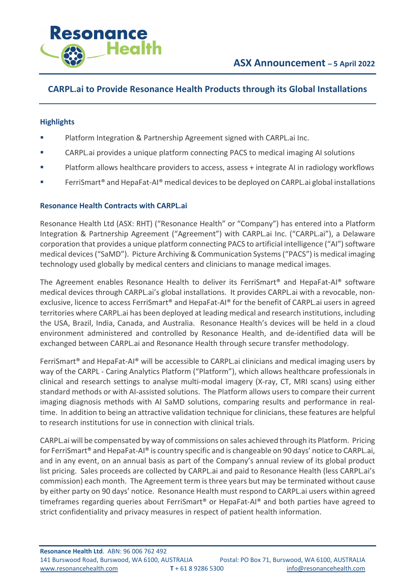

# **CARPL.ai to Provide Resonance Health Products through its Global Installations**

### **Highlights**

- Platform Integration & Partnership Agreement signed with CARPL.ai Inc.
- § CARPL.ai provides a unique platform connecting PACS to medical imaging AI solutions
- Platform allows healthcare providers to access, assess + integrate AI in radiology workflows
- FerriSmart<sup>®</sup> and HepaFat-Al<sup>®</sup> medical devices to be deployed on CARPL.ai global installations

## **Resonance Health Contracts with CARPL.ai**

Resonance Health Ltd (ASX: RHT) ("Resonance Health" or "Company") has entered into a Platform Integration & Partnership Agreement ("Agreement") with CARPL.ai Inc. ("CARPL.ai"), a Delaware corporation that provides a unique platform connecting PACS to artificial intelligence ("AI") software medical devices ("SaMD"). Picture Archiving & Communication Systems ("PACS") is medical imaging technology used globally by medical centers and clinicians to manage medical images.

The Agreement enables Resonance Health to deliver its FerriSmart® and HepaFat-AI® software medical devices through CARPL.ai's global installations. It provides CARPL.ai with a revocable, nonexclusive, licence to access FerriSmart® and HepaFat-AI® for the benefit of CARPL.ai users in agreed territories where CARPL.ai has been deployed at leading medical and research institutions, including the USA, Brazil, India, Canada, and Australia. Resonance Health's devices will be held in a cloud environment administered and controlled by Resonance Health, and de-identified data will be exchanged between CARPL.ai and Resonance Health through secure transfer methodology.

FerriSmart® and HepaFat-AI® will be accessible to CARPL.ai clinicians and medical imaging users by way of the CARPL - Caring Analytics Platform ("Platform"), which allows healthcare professionals in clinical and research settings to analyse multi-modal imagery (X-ray, CT, MRI scans) using either standard methods or with AI-assisted solutions. The Platform allows users to compare their current imaging diagnosis methods with AI SaMD solutions, comparing results and performance in realtime. In addition to being an attractive validation technique for clinicians, these features are helpful to research institutions for use in connection with clinical trials.

CARPL.ai will be compensated by way of commissions on sales achieved through its Platform. Pricing for FerriSmart® and HepaFat-AI® is country specific and is changeable on 90 days' notice to CARPL.ai, and in any event, on an annual basis as part of the Company's annual review of its global product list pricing. Sales proceeds are collected by CARPL.ai and paid to Resonance Health (less CARPL.ai's commission) each month. The Agreement term is three years but may be terminated without cause by either party on 90 days' notice. Resonance Health must respond to CARPL.ai users within agreed timeframes regarding queries about FerriSmart® or HepaFat-AI® and both parties have agreed to strict confidentiality and privacy measures in respect of patient health information.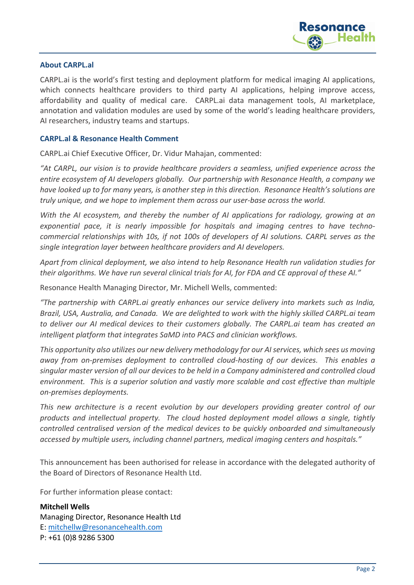

### **About CARPL.al**

CARPL.ai is the world's first testing and deployment platform for medical imaging AI applications, which connects healthcare providers to third party AI applications, helping improve access, affordability and quality of medical care. CARPL.ai data management tools, AI marketplace, annotation and validation modules are used by some of the world's leading healthcare providers, AI researchers, industry teams and startups.

#### **CARPL.al & Resonance Health Comment**

CARPL.ai Chief Executive Officer, Dr. Vidur Mahajan, commented:

*"At CARPL, our vision is to provide healthcare providers a seamless, unified experience across the entire ecosystem of AI developers globally. Our partnership with Resonance Health, a company we have looked up to for many years, is another step in this direction. Resonance Health's solutions are truly unique, and we hope to implement them across our user-base across the world.*

*With the AI ecosystem, and thereby the number of AI applications for radiology, growing at an exponential pace, it is nearly impossible for hospitals and imaging centres to have technocommercial relationships with 10s, if not 100s of developers of AI solutions. CARPL serves as the single integration layer between healthcare providers and AI developers.*

*Apart from clinical deployment, we also intend to help Resonance Health run validation studies for their algorithms. We have run several clinical trials for AI, for FDA and CE approval of these AI."*

Resonance Health Managing Director, Mr. Michell Wells, commented:

*"The partnership with CARPL.ai greatly enhances our service delivery into markets such as India, Brazil, USA, Australia, and Canada. We are delighted to work with the highly skilled CARPL.ai team to deliver our AI medical devices to their customers globally. The CARPL.ai team has created an intelligent platform that integrates SaMD into PACS and clinician workflows.* 

*This opportunity also utilizes our new delivery methodology for our AI services, which sees us moving away from on-premises deployment to controlled cloud-hosting of our devices. This enables a singular master version of all our devices to be held in a Company administered and controlled cloud environment. This is a superior solution and vastly more scalable and cost effective than multiple on-premises deployments.* 

*This new architecture is a recent evolution by our developers providing greater control of our products and intellectual property. The cloud hosted deployment model allows a single, tightly controlled centralised version of the medical devices to be quickly onboarded and simultaneously accessed by multiple users, including channel partners, medical imaging centers and hospitals."*

This announcement has been authorised for release in accordance with the delegated authority of the Board of Directors of Resonance Health Ltd.

For further information please contact:

**Mitchell Wells** Managing Director, Resonance Health Ltd E: mitchellw@resonancehealth.com P: +61 (0)8 9286 5300